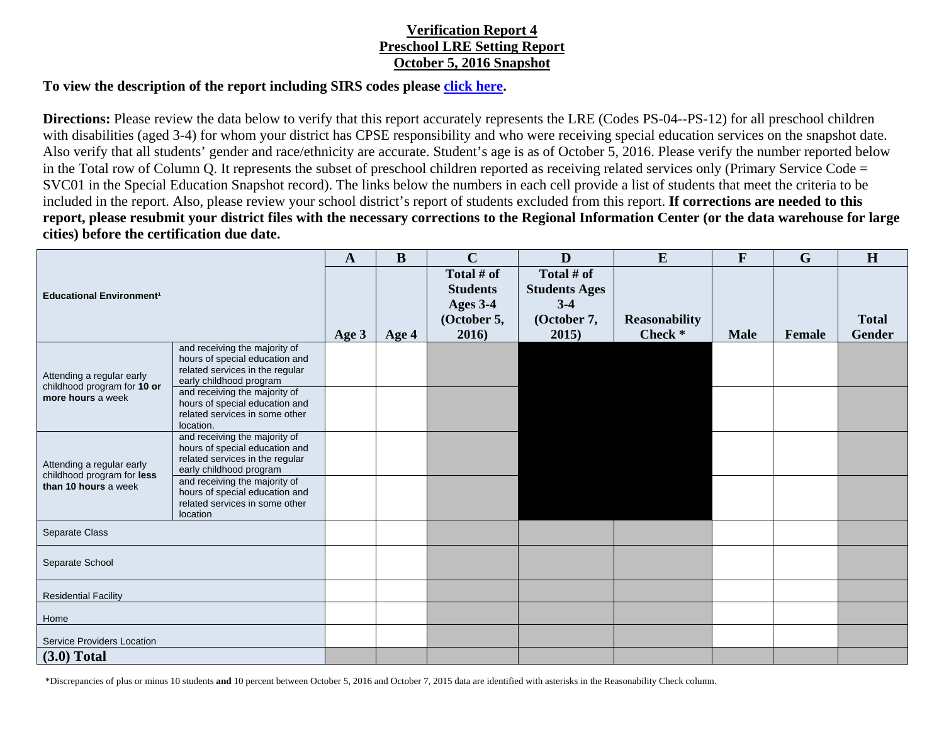## **Verification Report 4 Preschool LRE Setting Report October 5, 2016 Snapshot**

## **To view the description of the report including SIRS codes please click here.**

**Directions:** Please review the data below to verify that this report accurately represents the LRE (Codes PS-04--PS-12) for all preschool children with disabilities (aged 3-4) for whom your district has CPSE responsibility and who were receiving special education services on the snapshot date. Also verify that all students' gender and race/ethnicity are accurate. Student's age is as of October 5, 2016. Please verify the number reported below in the Total row of Column Q. It represents the subset of preschool children reported as receiving related services only (Primary Service Code = SVC01 in the Special Education Snapshot record). The links below the numbers in each cell provide a list of students that meet the criteria to be included in the report. Also, please review your school district's report of students excluded from this report. **If corrections are needed to this report, please resubmit your district files with the necessary corrections to the Regional Information Center (or the data warehouse for large cities) before the certification due date.** 

| <b>Educational Environment<sup>1</sup></b>                                      |                                                                   | $\mathbf{A}$ | B     | $\mathbf C$     | D                    | E                    | F           | G      | H             |
|---------------------------------------------------------------------------------|-------------------------------------------------------------------|--------------|-------|-----------------|----------------------|----------------------|-------------|--------|---------------|
|                                                                                 |                                                                   |              |       | Total # of      | Total # of           |                      |             |        |               |
|                                                                                 |                                                                   |              |       | <b>Students</b> | <b>Students Ages</b> |                      |             |        |               |
|                                                                                 |                                                                   |              |       | Ages 3-4        | $3-4$                |                      |             |        |               |
|                                                                                 |                                                                   |              |       | (October 5,     | (October 7,          | <b>Reasonability</b> |             |        | <b>Total</b>  |
|                                                                                 |                                                                   | Age 3        | Age 4 | 2016)           | 2015)                | Check *              | <b>Male</b> | Female | <b>Gender</b> |
| Attending a regular early<br>childhood program for 10 or<br>more hours a week   | and receiving the majority of                                     |              |       |                 |                      |                      |             |        |               |
|                                                                                 | hours of special education and<br>related services in the regular |              |       |                 |                      |                      |             |        |               |
|                                                                                 | early childhood program                                           |              |       |                 |                      |                      |             |        |               |
|                                                                                 | and receiving the majority of                                     |              |       |                 |                      |                      |             |        |               |
|                                                                                 | hours of special education and<br>related services in some other  |              |       |                 |                      |                      |             |        |               |
|                                                                                 | location.                                                         |              |       |                 |                      |                      |             |        |               |
| Attending a regular early<br>childhood program for less<br>than 10 hours a week | and receiving the majority of                                     |              |       |                 |                      |                      |             |        |               |
|                                                                                 | hours of special education and<br>related services in the regular |              |       |                 |                      |                      |             |        |               |
|                                                                                 | early childhood program                                           |              |       |                 |                      |                      |             |        |               |
|                                                                                 | and receiving the majority of                                     |              |       |                 |                      |                      |             |        |               |
|                                                                                 | hours of special education and<br>related services in some other  |              |       |                 |                      |                      |             |        |               |
|                                                                                 | location                                                          |              |       |                 |                      |                      |             |        |               |
| Separate Class                                                                  |                                                                   |              |       |                 |                      |                      |             |        |               |
|                                                                                 |                                                                   |              |       |                 |                      |                      |             |        |               |
| Separate School                                                                 |                                                                   |              |       |                 |                      |                      |             |        |               |
|                                                                                 |                                                                   |              |       |                 |                      |                      |             |        |               |
| <b>Residential Facility</b>                                                     |                                                                   |              |       |                 |                      |                      |             |        |               |
| Home                                                                            |                                                                   |              |       |                 |                      |                      |             |        |               |
|                                                                                 |                                                                   |              |       |                 |                      |                      |             |        |               |
| <b>Service Providers Location</b>                                               |                                                                   |              |       |                 |                      |                      |             |        |               |
| $(3.0)$ Total                                                                   |                                                                   |              |       |                 |                      |                      |             |        |               |

\*Discrepancies of plus or minus 10 students **and** 10 percent between October 5, 2016 and October 7, 2015 data are identified with asterisks in the Reasonability Check column.